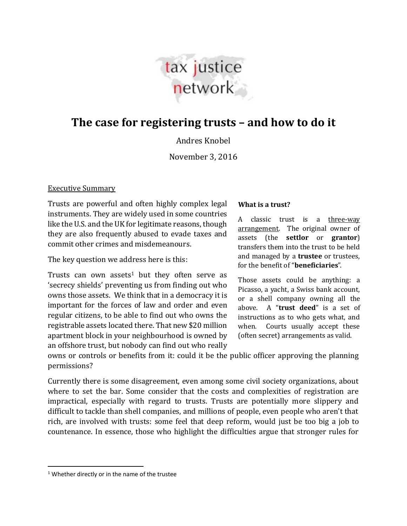

# **The case for registering trusts – and how to do it**

Andres Knobel

November 3, 2016

#### Executive Summary

Trusts are powerful and often highly complex legal instruments. They are widely used in some countries like the U.S. and the UK for legitimate reasons, though they are also frequently abused to evade taxes and commit other crimes and misdemeanours.

The key question we address here is this:

Trusts can own assets<sup>1</sup> but they often serve as 'secrecy shields' preventing us from finding out who owns those assets. We think that in a democracy it is important for the forces of law and order and even regular citizens, to be able to find out who owns the registrable assets located there. That new \$20 million apartment block in your neighbourhood is owned by an offshore trust, but nobody can find out who really

#### **What is a trust?**

A classic trust is a three-way arrangement. The original owner of assets (the **settlor** or **grantor**) transfers them into the trust to be held and managed by a **trustee** or trustees, for the benefit of "**beneficiaries**".

Those assets could be anything: a Picasso, a yacht, a Swiss bank account, or a shell company owning all the above. A "**trust deed**" is a set of instructions as to who gets what, and when. Courts usually accept these (often secret) arrangements as valid.

owns or controls or benefits from it: could it be the public officer approving the planning permissions?

Currently there is some disagreement, even among some civil society organizations, about where to set the bar. Some consider that the costs and complexities of registration are impractical, especially with regard to trusts. Trusts are potentially more slippery and difficult to tackle than shell companies, and millions of people, even people who aren't that rich, are involved with trusts: some feel that deep reform, would just be too big a job to countenance. In essence, those who highlight the difficulties argue that stronger rules for

 $\overline{\phantom{a}}$ 

<sup>&</sup>lt;sup>1</sup> Whether directly or in the name of the trustee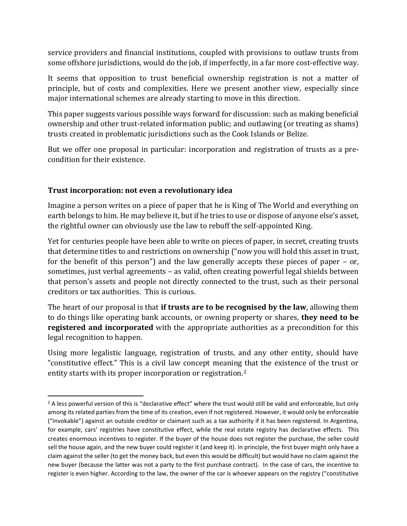service providers and financial institutions, coupled with provisions to outlaw trusts from some offshore jurisdictions, would do the job, if imperfectly, in a far more cost-effective way.

It seems that opposition to trust beneficial ownership registration is not a matter of principle, but of costs and complexities. Here we present another view, especially since major international schemes are already starting to move in this direction.

This paper suggests various possible ways forward for discussion: such as making beneficial ownership and other trust-related information public; and outlawing (or treating as shams) trusts created in problematic jurisdictions such as the Cook Islands or Belize.

But we offer one proposal in particular: incorporation and registration of trusts as a precondition for their existence.

# **Trust incorporation: not even a revolutionary idea**

 $\overline{a}$ 

Imagine a person writes on a piece of paper that he is King of The World and everything on earth belongs to him. He may believe it, but if he tries to use or dispose of anyone else's asset, the rightful owner can obviously use the law to rebuff the self-appointed King.

Yet for centuries people have been able to write on pieces of paper, in secret, creating trusts that determine titles to and restrictions on ownership ("now you will hold this asset in trust, for the benefit of this person") and the law generally accepts these pieces of paper – or, sometimes, just verbal agreements – as valid, often creating powerful legal shields between that person's assets and people not directly connected to the trust, such as their personal creditors or tax authorities. This is curious.

The heart of our proposal is that **if trusts are to be recognised by the law**, allowing them to do things like operating bank accounts, or owning property or shares, **they need to be registered and incorporated** with the appropriate authorities as a precondition for this legal recognition to happen.

Using more legalistic language, registration of trusts, and any other entity, should have "constitutive effect." This is a civil law concept meaning that the existence of the trust or entity starts with its proper incorporation or registration.<sup>2</sup>

<sup>&</sup>lt;sup>2</sup> A less powerful version of this is "declarative effect" where the trust would still be valid and enforceable, but only among its related parties from the time of its creation, even if not registered. However, it would only be enforceable ("invokable") against an outside creditor or claimant such as a tax authority if it has been registered. In Argentina, for example, cars' registries have constitutive effect, while the real estate registry has declarative effects. This creates enormous incentives to register. If the buyer of the house does not register the purchase, the seller could sell the house again, and the new buyer could register it (and keep it). In principle, the first buyer might only have a claim against the seller (to get the money back, but even this would be difficult) but would have no claim against the new buyer (because the latter was not a party to the first purchase contract). In the case of cars, the incentive to register is even higher. According to the law, the owner of the car is whoever appears on the registry ("constitutive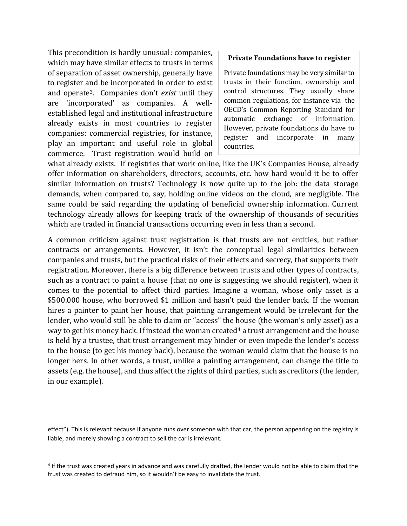This precondition is hardly unusual: companies, which may have similar effects to trusts in terms of separation of asset ownership, generally have to register and be incorporated in order to exist and operate3. Companies don't *exist* until they are 'incorporated' as companies. A wellestablished legal and institutional infrastructure already exists in most countries to register companies: commercial registries, for instance, play an important and useful role in global commerce. Trust registration would build on

 $\overline{\phantom{a}}$ 

#### **Private Foundations have to register**

Private foundations may be very similar to trusts in their function, ownership and control structures. They usually share common regulations, for instance via the OECD's Common Reporting Standard for automatic exchange of information. However, private foundations do have to register and incorporate in many countries.

what already exists. If registries that work online, like the UK's Companies House, already offer information on shareholders, directors, accounts, etc. how hard would it be to offer similar information on trusts? Technology is now quite up to the job: the data storage demands, when compared to, say, holding online videos on the cloud, are negligible. The same could be said regarding the updating of beneficial ownership information. Current technology already allows for keeping track of the ownership of thousands of securities which are traded in financial transactions occurring even in less than a second.

A common criticism against trust registration is that trusts are not entities, but rather contracts or arrangements. However, it isn't the conceptual legal similarities between companies and trusts, but the practical risks of their effects and secrecy, that supports their registration. Moreover, there is a big difference between trusts and other types of contracts, such as a contract to paint a house (that no one is suggesting we should register), when it comes to the potential to affect third parties. Imagine a woman, whose only asset is a \$500.000 house, who borrowed \$1 million and hasn't paid the lender back. If the woman hires a painter to paint her house, that painting arrangement would be irrelevant for the lender, who would still be able to claim or "access" the house (the woman's only asset) as a way to get his money back. If instead the woman created<sup>4</sup> a trust arrangement and the house is held by a trustee, that trust arrangement may hinder or even impede the lender's access to the house (to get his money back), because the woman would claim that the house is no longer hers. In other words, a trust, unlike a painting arrangement, can change the title to assets (e.g. the house), and thus affect the rights of third parties, such as creditors (the lender, in our example).

effect"). This is relevant because if anyone runs over someone with that car, the person appearing on the registry is liable, and merely showing a contract to sell the car is irrelevant.

<sup>4</sup> If the trust was created years in advance and was carefully drafted, the lender would not be able to claim that the trust was created to defraud him, so it wouldn't be easy to invalidate the trust.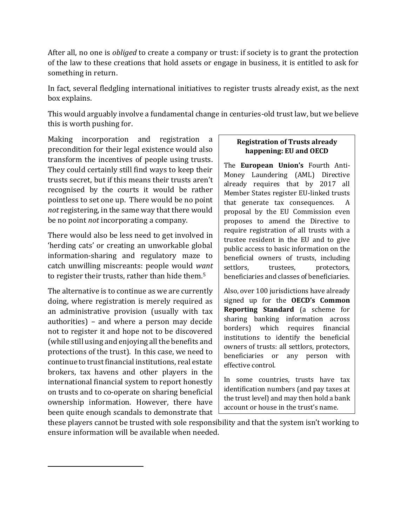After all, no one is *obliged* to create a company or trust: if society is to grant the protection of the law to these creations that hold assets or engage in business, it is entitled to ask for something in return.

In fact, several fledgling international initiatives to register trusts already exist, as the next box explains.

This would arguably involve a fundamental change in centuries-old trust law, but we believe this is worth pushing for.

Making incorporation and registration a precondition for their legal existence would also transform the incentives of people using trusts. They could certainly still find ways to keep their trusts secret, but if this means their trusts aren't recognised by the courts it would be rather pointless to set one up. There would be no point *not* registering, in the same way that there would be no point *not* incorporating a company.

There would also be less need to get involved in 'herding cats' or creating an unworkable global information-sharing and regulatory maze to catch unwilling miscreants: people would *want* to register their trusts, rather than hide them. 5

The alternative is to continue as we are currently doing, where registration is merely required as an administrative provision (usually with tax authorities) – and where a person may decide not to register it and hope not to be discovered (while still using and enjoying all the benefits and protections of the trust). In this case, we need to continue to trust financial institutions, real estate brokers, tax havens and other players in the international financial system to report honestly on trusts and to co-operate on sharing beneficial ownership information. However, there have been quite enough scandals to demonstrate that

 $\overline{\phantom{a}}$ 

## **Registration of Trusts already happening: EU and OECD**

The **European Union's** Fourth Anti-Money Laundering (AML) Directive already requires that by 2017 all Member States register EU-linked trusts that generate tax consequences. A proposal by the EU Commission even proposes to amend the Directive to require registration of all trusts with a trustee resident in the EU and to give public access to basic information on the beneficial owners of trusts, including settlors, trustees, protectors, beneficiaries and classes of beneficiaries.

Also, over 100 jurisdictions have already signed up for the **OECD's Common Reporting Standard** (a scheme for sharing banking information across borders) which requires financial institutions to identify the beneficial owners of trusts: all settlors, protectors, beneficiaries or any person with effective control.

In some countries, trusts have tax identification numbers (and pay taxes at the trust level) and may then hold a bank account or house in the trust's name.

these players cannot be trusted with sole responsibility and that the system isn't working to ensure information will be available when needed.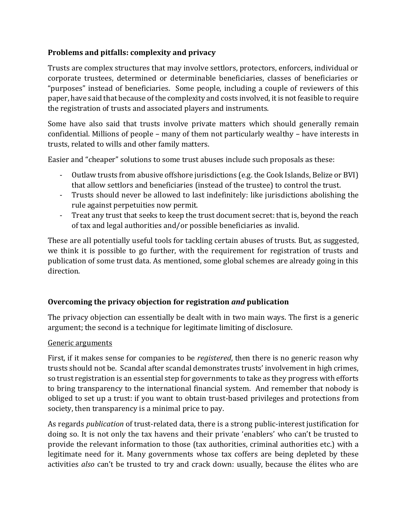# **Problems and pitfalls: complexity and privacy**

Trusts are complex structures that may involve settlors, protectors, enforcers, individual or corporate trustees, determined or determinable beneficiaries, classes of beneficiaries or "purposes" instead of beneficiaries. Some people, including a couple of reviewers of this paper, have said that because of the complexity and costs involved, it is not feasible to require the registration of trusts and associated players and instruments.

Some have also said that trusts involve private matters which should generally remain confidential. Millions of people – many of them not particularly wealthy – have interests in trusts, related to wills and other family matters.

Easier and "cheaper" solutions to some trust abuses include such proposals as these:

- Outlaw trusts from abusive offshore jurisdictions (e.g. the Cook Islands, Belize or BVI) that allow settlors and beneficiaries (instead of the trustee) to control the trust.
- Trusts should never be allowed to last indefinitely: like jurisdictions abolishing the rule against perpetuities now permit.
- Treat any trust that seeks to keep the trust document secret: that is, beyond the reach of tax and legal authorities and/or possible beneficiaries as invalid.

These are all potentially useful tools for tackling certain abuses of trusts. But, as suggested, we think it is possible to go further, with the requirement for registration of trusts and publication of some trust data. As mentioned, some global schemes are already going in this direction.

# **Overcoming the privacy objection for registration** *and* **publication**

The privacy objection can essentially be dealt with in two main ways. The first is a generic argument; the second is a technique for legitimate limiting of disclosure.

### Generic arguments

First, if it makes sense for companies to be *registered*, then there is no generic reason why trusts should not be. Scandal after scandal demonstrates trusts' involvement in high crimes, so trust registration is an essential step for governments to take as they progress with efforts to bring transparency to the international financial system. And remember that nobody is obliged to set up a trust: if you want to obtain trust-based privileges and protections from society, then transparency is a minimal price to pay.

As regards *publication* of trust-related data, there is a strong public-interest justification for doing so. It is not only the tax havens and their private 'enablers' who can't be trusted to provide the relevant information to those (tax authorities, criminal authorities etc.) with a legitimate need for it. Many governments whose tax coffers are being depleted by these activities *also* can't be trusted to try and crack down: usually, because the élites who are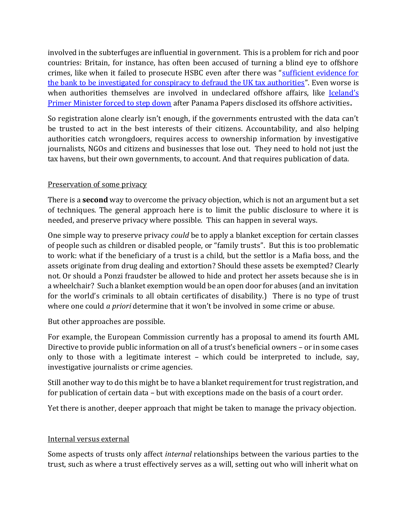involved in the subterfuges are influential in government. This is a problem for rich and poor countries: Britain, for instance, has often been accused of turning a blind eye to offshore crimes, like when it failed to prosecute HSBC even after there was "sufficient evidence for [the bank to be investigated for conspiracy to defraud the UK tax authorities](https://www.theguardian.com/politics/2015/feb/22/hsbc-uk-criminal-charges-former-public-prosecutor-hmrc)". Even worse is when authorities themselves are involved in undeclared offshore affairs, like Iceland's [Primer Minister forced to step down](http://www.nytimes.com/2016/04/06/world/europe/panama-papers-iceland.html?_r=0) after Panama Papers disclosed its offshore activities**.**

So registration alone clearly isn't enough, if the governments entrusted with the data can't be trusted to act in the best interests of their citizens. Accountability, and also helping authorities catch wrongdoers, requires access to ownership information by investigative journalists, NGOs and citizens and businesses that lose out. They need to hold not just the tax havens, but their own governments, to account. And that requires publication of data.

## Preservation of some privacy

There is a **second** way to overcome the privacy objection, which is not an argument but a set of techniques. The general approach here is to limit the public disclosure to where it is needed, and preserve privacy where possible. This can happen in several ways.

One simple way to preserve privacy *could* be to apply a blanket exception for certain classes of people such as children or disabled people, or "family trusts". But this is too problematic to work: what if the beneficiary of a trust is a child, but the settlor is a Mafia boss, and the assets originate from drug dealing and extortion? Should these assets be exempted? Clearly not. Or should a Ponzi fraudster be allowed to hide and protect her assets because she is in a wheelchair? Such a blanket exemption would be an open door for abuses (and an invitation for the world's criminals to all obtain certificates of disability.) There is no type of trust where one could *a priori* determine that it won't be involved in some crime or abuse.

But other approaches are possible.

For example, the European Commission currently has a proposal to amend its fourth AML Directive to provide public information on all of a trust's beneficial owners – or in some cases only to those with a legitimate interest – which could be interpreted to include, say, investigative journalists or crime agencies.

Still another way to do this might be to have a blanket requirement for trust registration, and for publication of certain data – but with exceptions made on the basis of a court order.

Yet there is another, deeper approach that might be taken to manage the privacy objection.

### Internal versus external

Some aspects of trusts only affect *internal* relationships between the various parties to the trust, such as where a trust effectively serves as a will, setting out who will inherit what on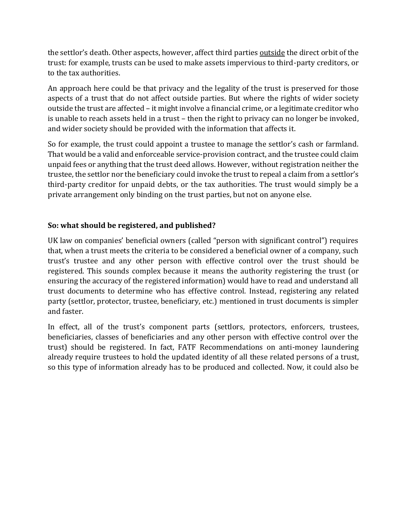the settlor's death. Other aspects, however, affect third parties outside the direct orbit of the trust: for example, trusts can be used to make assets impervious to third-party creditors, or to the tax authorities.

An approach here could be that privacy and the legality of the trust is preserved for those aspects of a trust that do not affect outside parties. But where the rights of wider society outside the trust are affected – it might involve a financial crime, or a legitimate creditor who is unable to reach assets held in a trust – then the right to privacy can no longer be invoked, and wider society should be provided with the information that affects it.

So for example, the trust could appoint a trustee to manage the settlor's cash or farmland. That would be a valid and enforceable service-provision contract, and the trustee could claim unpaid fees or anything that the trust deed allows. However, without registration neither the trustee, the settlor nor the beneficiary could invoke the trust to repeal a claim from a settlor's third-party creditor for unpaid debts, or the tax authorities. The trust would simply be a private arrangement only binding on the trust parties, but not on anyone else.

# **So: what should be registered, and published?**

UK law on companies' beneficial owners (called "person with significant control") requires that, when a trust meets the criteria to be considered a beneficial owner of a company, such trust's trustee and any other person with effective control over the trust should be registered. This sounds complex because it means the authority registering the trust (or ensuring the accuracy of the registered information) would have to read and understand all trust documents to determine who has effective control. Instead, registering any related party (settlor, protector, trustee, beneficiary, etc.) mentioned in trust documents is simpler and faster.

In effect, all of the trust's component parts (settlors, protectors, enforcers, trustees, beneficiaries, classes of beneficiaries and any other person with effective control over the trust) should be registered. In fact, FATF Recommendations on anti-money laundering already require trustees to hold the updated identity of all these related persons of a trust, so this type of information already has to be produced and collected. Now, it could also be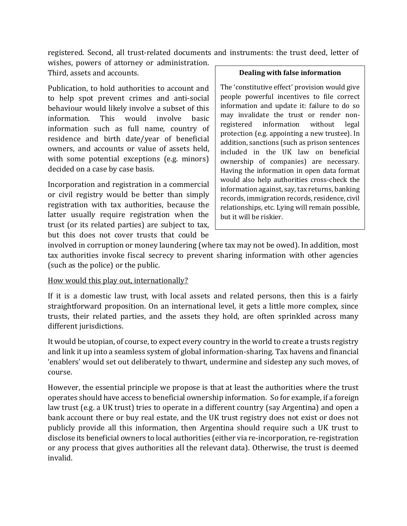registered. Second, all trust-related documents and instruments: the trust deed, letter of

wishes, powers of attorney or administration. Third, assets and accounts.

Publication, to hold authorities to account and to help spot prevent crimes and anti-social behaviour would likely involve a subset of this information. This would involve basic information such as full name, country of residence and birth date/year of beneficial owners, and accounts or value of assets held, with some potential exceptions (e.g. minors) decided on a case by case basis.

Incorporation and registration in a commercial or civil registry would be better than simply registration with tax authorities, because the latter usually require registration when the trust (or its related parties) are subject to tax, but this does not cover trusts that could be

#### **Dealing with false information**

The 'constitutive effect' provision would give people powerful incentives to file correct information and update it: failure to do so may invalidate the trust or render nonregistered information without legal protection (e.g. appointing a new trustee). In addition, sanctions (such as prison sentences included in the UK law on beneficial ownership of companies) are necessary. Having the information in open data format would also help authorities cross-check the information against, say, tax returns, banking records, immigration records, residence, civil relationships, etc. Lying will remain possible, but it will be riskier.

involved in corruption or money laundering (where tax may not be owed). In addition, most tax authorities invoke fiscal secrecy to prevent sharing information with other agencies (such as the police) or the public.

### How would this play out, internationally?

If it is a domestic law trust, with local assets and related persons, then this is a fairly straightforward proposition. On an international level, it gets a little more complex, since trusts, their related parties, and the assets they hold, are often sprinkled across many different jurisdictions.

It would be utopian, of course, to expect every country in the world to create a trusts registry and link it up into a seamless system of global information-sharing. Tax havens and financial 'enablers' would set out deliberately to thwart, undermine and sidestep any such moves, of course.

However, the essential principle we propose is that at least the authorities where the trust operates should have access to beneficial ownership information. So for example, if a foreign law trust (e.g. a UK trust) tries to operate in a different country (say Argentina) and open a bank account there or buy real estate, and the UK trust registry does not exist or does not publicly provide all this information, then Argentina should require such a UK trust to disclose its beneficial owners to local authorities (either via re-incorporation, re-registration or any process that gives authorities all the relevant data). Otherwise, the trust is deemed invalid.